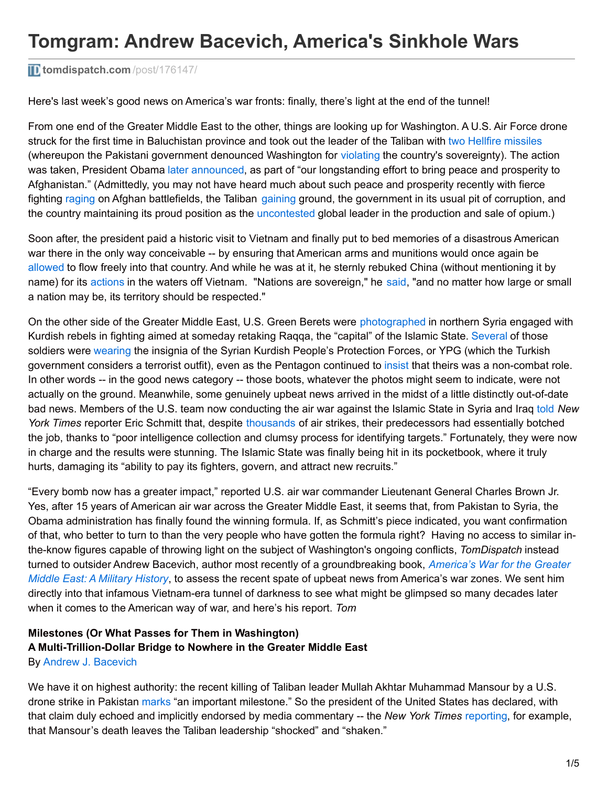### **[tomdispatch.com](http://www.tomdispatch.com/post/176147/)** /post/176147/

Here's last week's good news on America's war fronts: finally, there's light at the end of the tunnel!

From one end of the Greater Middle East to the other, things are looking up for Washington. A U.S. Air Force drone struck for the first time in Baluchistan province and took out the leader of the Taliban with two Hellfire [missiles](http://www.wsj.com/articles/u-s-tracked-taliban-leader-before-drone-strike-1464109562) (whereupon the Pakistani government denounced Washington for [violating](http://www.nytimes.com/2016/05/23/world/asia/afghanistan-taliban-leader-mullah-mansour.html) the country's sovereignty). The action was taken, President Obama later [announced](http://www.dw.com/en/could-the-next-taliban-leader-pose-a-bigger-threat-to-peace/a-19277238), as part of "our longstanding effort to bring peace and prosperity to Afghanistan." (Admittedly, you may not have heard much about such peace and prosperity recently with fierce fighting [raging](http://www.nytimes.com/2016/03/16/world/asia/a-5th-district-in-helmand-province-falls-to-the-taliban.html) on Afghan battlefields, the Taliban [gaining](http://thehill.com/policy/national-security/264615-taliban-gaining-ground-in-afghanistan-former-cia-chief-says) ground, the government in its usual pit of corruption, and the country maintaining its proud position as the [uncontested](http://www.tomdispatch.com/blog/176106/tomgram%3A_alfred_mccoy,_washington) global leader in the production and sale of opium.)

Soon after, the president paid a historic visit to Vietnam and finally put to bed memories of a disastrous American war there in the only way conceivable -- by ensuring that American arms and munitions would once again be [allowed](http://www.nytimes.com/2016/05/24/world/asia/vietnam-us-arms-embargo-obama.html) to flow freely into that country. And while he was at it, he sternly rebuked China (without mentioning it by name) for its [actions](http://www.cnn.com/2016/01/03/asia/china-vietnam-south-china-sea/) in the waters off Vietnam. "Nations are sovereign," he [said](http://www.cnn.com/2016/05/24/politics/obama-vietnam-south-china-sea/), "and no matter how large or small a nation may be, its territory should be respected."

On the other side of the Greater Middle East, U.S. Green Berets were [photographed](https://www.washingtonpost.com/news/checkpoint/wp/2016/05/26/first-images-emerge-of-u-s-special-operations-forces-in-the-fight-to-retake-raqqa/) in northern Syria engaged with Kurdish rebels in fighting aimed at someday retaking Ragga, the "capital" of the Islamic State. [Several](http://www.nytimes.com/2016/05/27/world/middleeast/us-commandos-work-with-syrian-fighters-in-push-toward-isis-stronghold.html) of those soldiers were [wearing](http://www.militarytimes.com/story/military/war-on-is/2016/05/26/green-berets-syria-kurdish-ypg-insignia/84987596/) the insignia of the Syrian Kurdish People's Protection Forces, or YPG (which the Turkish government considers a terrorist outfit), even as the Pentagon continued to [insist](http://www.washingtontimes.com/news/2016/may/26/pentagon-stands-noncombat-role-us-forces-syria/) that theirs was a non-combat role. In other words -- in the good news category -- those boots, whatever the photos might seem to indicate, were not actually on the ground. Meanwhile, some genuinely upbeat news arrived in the midst of a little distinctly out-of-date bad news. Members of the U.S. team now conducting the air war against the Islamic State in Syria and Iraq [told](http://www.nytimes.com/2016/05/26/us/politics/us-strikes-isis-targets.html) *New York Times* reporter Eric Schmitt that, despite [thousands](http://www.bbc.com/news/world-middle-east-35472662) of air strikes, their predecessors had essentially botched the job, thanks to "poor intelligence collection and clumsy process for identifying targets." Fortunately, they were now in charge and the results were stunning. The Islamic State was finally being hit in its pocketbook, where it truly hurts, damaging its "ability to pay its fighters, govern, and attract new recruits."

"Every bomb now has a greater impact," reported U.S. air war commander Lieutenant General Charles Brown Jr. Yes, after 15 years of American air war across the Greater Middle East, it seems that, from Pakistan to Syria, the Obama administration has finally found the winning formula. If, as Schmitt's piece indicated, you want confirmation of that, who better to turn to than the very people who have gotten the formula right? Having no access to similar inthe-know figures capable of throwing light on the subject of Washington's ongoing conflicts, *TomDispatch* instead turned to outsider Andrew Bacevich, author most recently of a [groundbreaking](http://www.amazon.com/dp/0553393936/ref=nosim/?tag=tomdispatch-20) book, *America's War for the Greater Middle East: A Military History*, to assess the recent spate of upbeat news from America's war zones. We sent him directly into that infamous Vietnam-era tunnel of darkness to see what might be glimpsed so many decades later when it comes to the American way of war, and here's his report. *Tom*

## **Milestones (Or What Passes for Them in Washington) A Multi-Trillion-Dollar Bridge to Nowhere in the Greater Middle East**

By Andrew J. [Bacevich](http://www.tomdispatch.com/authors/andrewbacevich)

We have it on highest authority: the recent killing of Taliban leader Mullah Akhtar Muhammad Mansour by a U.S. drone strike in Pakistan [marks](http://www.nytimes.com/2016/05/24/world/asia/obama-mullah-mansour-taliban-killed.html) "an important milestone." So the president of the United States has declared, with that claim duly echoed and implicitly endorsed by media commentary -- the *New York Times* [reporting](http://www.nytimes.com/2016/05/25/world/asia/afghanistan-taliban-new-leader.html), for example, that Mansour's death leaves the Taliban leadership "shocked" and "shaken."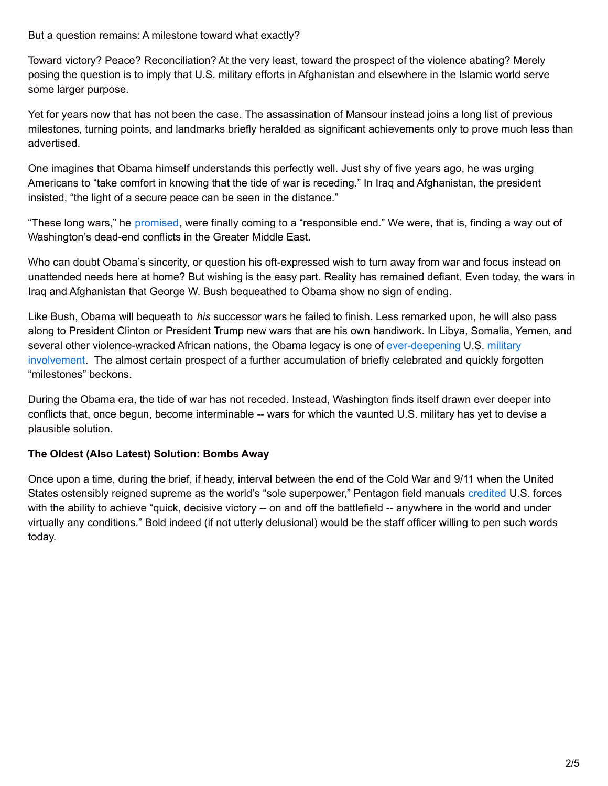But a question remains: A milestone toward what exactly?

Toward victory? Peace? Reconciliation? At the very least, toward the prospect of the violence abating? Merely posing the question is to imply that U.S. military efforts in Afghanistan and elsewhere in the Islamic world serve some larger purpose.

Yet for years now that has not been the case. The assassination of Mansour instead joins a long list of previous milestones, turning points, and landmarks briefly heralded as significant achievements only to prove much less than advertised.

One imagines that Obama himself understands this perfectly well. Just shy of five years ago, he was urging Americans to "take comfort in knowing that the tide of war is receding." In Iraq and Afghanistan, the president insisted, "the light of a secure peace can be seen in the distance."

"These long wars," he [promised](https://www.whitehouse.gov/the-press-office/2011/06/22/remarks-president-way-forward-afghanistan), were finally coming to a "responsible end." We were, that is, finding a way out of Washington's dead-end conflicts in the Greater Middle East.

Who can doubt Obama's sincerity, or question his oft-expressed wish to turn away from war and focus instead on unattended needs here at home? But wishing is the easy part. Reality has remained defiant. Even today, the wars in Iraq and Afghanistan that George W. Bush bequeathed to Obama show no sign of ending.

Like Bush, Obama will bequeath to *his* successor wars he failed to finish. Less remarked upon, he will also pass along to President Clinton or President Trump new wars that are his own handiwork. In Libya, Somalia, Yemen, and several other [violence-wracked](http://www.tomdispatch.com/blog/176042/tomgram%3A_nick_turse,_nothing_succeeds_like_failure) African nations, the Obama legacy is one of [ever-deepening](http://www.tomdispatch.com/blog/176070/tomgram:_nick_turse,_america) U.S. military involvement. The almost certain prospect of a further accumulation of briefly celebrated and quickly forgotten "milestones" beckons.

During the Obama era, the tide of war has not receded. Instead, Washington finds itself drawn ever deeper into conflicts that, once begun, become interminable -- wars for which the vaunted U.S. military has yet to devise a plausible solution.

#### **The Oldest (Also Latest) Solution: Bombs Away**

Once upon a time, during the brief, if heady, interval between the end of the Cold War and 9/11 when the United States ostensibly reigned supreme as the world's "sole superpower," Pentagon field manuals [credited](http://www.fprado.com/armorsite/US-Field-Manuals/FM-100-5-Operations.pdf) U.S. forces with the ability to achieve "quick, decisive victory -- on and off the battlefield -- anywhere in the world and under virtually any conditions." Bold indeed (if not utterly delusional) would be the staff officer willing to pen such words today.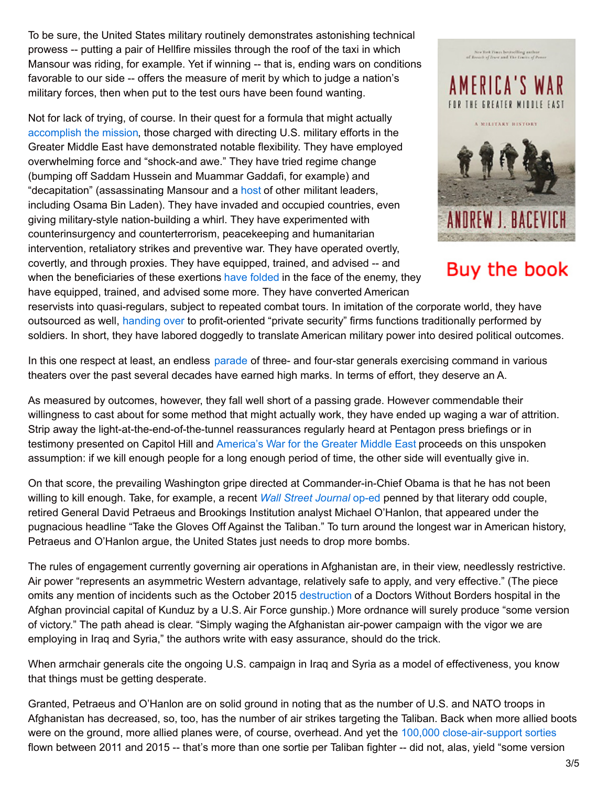To be sure, the United States military routinely demonstrates astonishing technical prowess -- putting a pair of Hellfire missiles through the roof of the taxi in which Mansour was riding, for example. Yet if winning -- that is, ending wars on conditions favorable to our side -- offers the measure of merit by which to judge a nation's military forces, then when put to the test ours have been found wanting.

Not for lack of trying, of course. In their quest for a formula that might actually [accomplish](http://media2.s-nbcnews.com/j/msnbc/Components/ArtAndPhoto-Fronts/COVER/080501/g-cvr-080501-mission-10a.grid-6x2.jpg) the mission, those charged with directing U.S. military efforts in the Greater Middle East have demonstrated notable flexibility. They have employed overwhelming force and "shock-and awe." They have tried regime change (bumping off Saddam Hussein and Muammar Gaddafi, for example) and "decapitation" (assassinating Mansour and a [host](http://www.tomdispatch.com/post/175988/tomgram%3A_andrew_cockburn,_how_assassination_sold_drugs_and_promoted_terrorism/) of other militant leaders, including Osama Bin Laden). They have invaded and occupied countries, even giving military-style nation-building a whirl. They have experimented with counterinsurgency and counterterrorism, peacekeeping and humanitarian intervention, retaliatory strikes and preventive war. They have operated overtly, covertly, and through proxies. They have equipped, trained, and advised -- and when the beneficiaries of these exertions have [folded](http://www.tomdispatch.com/post/176055/tomgram%3A_andrew_bacevich,_vietnamization_2.0/) in the face of the enemy, they have equipped, trained, and advised some more. They have converted American



New York Fines bestselling anthon<br>of Boson's of Trust and The Limits of Pe

# Buy the book

reservists into quasi-regulars, subject to repeated combat tours. In imitation of the corporate world, they have outsourced as well, [handing](http://www.defenseone.com/threats/2016/02/back-iraq-us-military-contractors-return-droves/126095/) over to profit-oriented "private security" firms functions traditionally performed by soldiers. In short, they have labored doggedly to translate American military power into desired political outcomes.

In this one respect at least, an endless [parade](http://www.thedailybeast.com/articles/2016/03/31/exclusive-21-generals-lead-an-isis-war-the-u-s-denies.html) of three- and four-star generals exercising command in various theaters over the past several decades have earned high marks. In terms of effort, they deserve an A.

As measured by outcomes, however, they fall well short of a passing grade. However commendable their willingness to cast about for some method that might actually work, they have ended up waging a war of attrition. Strip away the light-at-the-end-of-the-tunnel reassurances regularly heard at Pentagon press briefings or in testimony presented on Capitol Hill and [America's](http://www.amazon.com/dp/0553393936/ref=nosim/?tag=tomdispatch-20) War for the Greater Middle East proceeds on this unspoken assumption: if we kill enough people for a long enough period of time, the other side will eventually give in.

On that score, the prevailing Washington gripe directed at Commander-in-Chief Obama is that he has not been willing to kill enough. Take, for example, a recent *Wall Street [Journal](http://www.wsj.com/articles/take-the-gloves-off-against-the-taliban-1463783106)* op-ed penned by that literary odd couple, retired General David Petraeus and Brookings Institution analyst Michael O'Hanlon, that appeared under the pugnacious headline "Take the Gloves Off Against the Taliban." To turn around the longest war in American history, Petraeus and O'Hanlon argue, the United States just needs to drop more bombs.

The rules of engagement currently governing air operations in Afghanistan are, in their view, needlessly restrictive. Air power "represents an asymmetric Western advantage, relatively safe to apply, and very effective." (The piece omits any mention of incidents such as the October 2015 [destruction](http://www.tomdispatch.com/blog/176069/tomgram%3A_laura_gottesdiener,_the_angel_of_death/) of a Doctors Without Borders hospital in the Afghan provincial capital of Kunduz by a U.S. Air Force gunship.) More ordnance will surely produce "some version of victory." The path ahead is clear. "Simply waging the Afghanistan air-power campaign with the vigor we are employing in Iraq and Syria," the authors write with easy assurance, should do the trick.

When armchair generals cite the ongoing U.S. campaign in Iraq and Syria as a model of effectiveness, you know that things must be getting desperate.

Granted, Petraeus and O'Hanlon are on solid ground in noting that as the number of U.S. and NATO troops in Afghanistan has decreased, so, too, has the number of air strikes targeting the Taliban. Back when more allied boots were on the ground, more allied planes were, of course, overhead. And yet the 100,000 [close-air-support](http://www.afcent.af.mil/Portals/82/Documents/Airpower summary/03 - 31 March 2016 Airpower Summary.pdf?ver=2016-04-09-055912-003) sorties flown between 2011 and 2015 -- that's more than one sortie per Taliban fighter -- did not, alas, yield "some version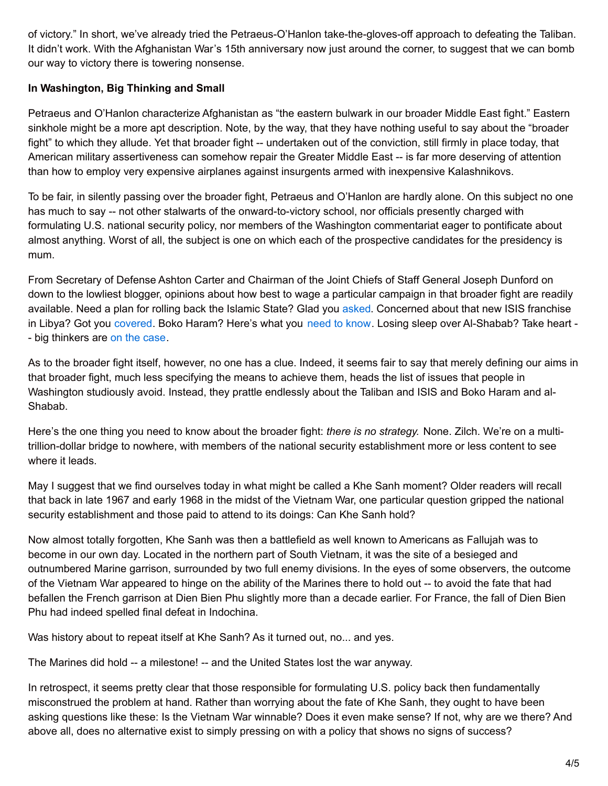of victory." In short, we've already tried the Petraeus-O'Hanlon take-the-gloves-off approach to defeating the Taliban. It didn't work. With the Afghanistan War's 15th anniversary now just around the corner, to suggest that we can bomb our way to victory there is towering nonsense.

#### **In Washington, Big Thinking and Small**

Petraeus and O'Hanlon characterize Afghanistan as "the eastern bulwark in our broader Middle East fight." Eastern sinkhole might be a more apt description. Note, by the way, that they have nothing useful to say about the "broader fight" to which they allude. Yet that broader fight -- undertaken out of the conviction, still firmly in place today, that American military assertiveness can somehow repair the Greater Middle East -- is far more deserving of attention than how to employ very expensive airplanes against insurgents armed with inexpensive Kalashnikovs.

To be fair, in silently passing over the broader fight, Petraeus and O'Hanlon are hardly alone. On this subject no one has much to say -- not other stalwarts of the onward-to-victory school, nor officials presently charged with formulating U.S. national security policy, nor members of the Washington commentariat eager to pontificate about almost anything. Worst of all, the subject is one on which each of the prospective candidates for the presidency is mum.

From Secretary of Defense Ashton Carter and Chairman of the Joint Chiefs of Staff General Joseph Dunford on down to the lowliest blogger, opinions about how best to wage a particular campaign in that broader fight are readily available. Need a plan for rolling back the Islamic State? Glad you [asked](http://www.understandingwar.org/report/strategy-defeat-islamic-state). Concerned about that new ISIS franchise in Libya? Got you [covered](http://www.thedailybeast.com/articles/2016/03/07/from-the-levant-to-libya-this-is-how-you-beat-isis.html). Boko Haram? Here's what you need to [know](http://www.cfr.org/nigeria/us-policy-counter-nigerias-boko-haram/p33806). Losing sleep over Al-Shabab? Take heart - - big thinkers are on the [case](http://foreignpolicy.com/2016/03/09/u-s-attacks-reveal-al-shababs-strength-not-weakness-somalia/).

As to the broader fight itself, however, no one has a clue. Indeed, it seems fair to say that merely defining our aims in that broader fight, much less specifying the means to achieve them, heads the list of issues that people in Washington studiously avoid. Instead, they prattle endlessly about the Taliban and ISIS and Boko Haram and al-Shabab.

Here's the one thing you need to know about the broader fight: *there is no strategy.* None. Zilch. We're on a multitrillion-dollar bridge to nowhere, with members of the national security establishment more or less content to see where it leads.

May I suggest that we find ourselves today in what might be called a Khe Sanh moment? Older readers will recall that back in late 1967 and early 1968 in the midst of the Vietnam War, one particular question gripped the national security establishment and those paid to attend to its doings: Can Khe Sanh hold?

Now almost totally forgotten, Khe Sanh was then a battlefield as well known to Americans as Fallujah was to become in our own day. Located in the northern part of South Vietnam, it was the site of a besieged and outnumbered Marine garrison, surrounded by two full enemy divisions. In the eyes of some observers, the outcome of the Vietnam War appeared to hinge on the ability of the Marines there to hold out -- to avoid the fate that had befallen the French garrison at Dien Bien Phu slightly more than a decade earlier. For France, the fall of Dien Bien Phu had indeed spelled final defeat in Indochina.

Was history about to repeat itself at Khe Sanh? As it turned out, no... and yes.

The Marines did hold -- a milestone! -- and the United States lost the war anyway.

In retrospect, it seems pretty clear that those responsible for formulating U.S. policy back then fundamentally misconstrued the problem at hand. Rather than worrying about the fate of Khe Sanh, they ought to have been asking questions like these: Is the Vietnam War winnable? Does it even make sense? If not, why are we there? And above all, does no alternative exist to simply pressing on with a policy that shows no signs of success?